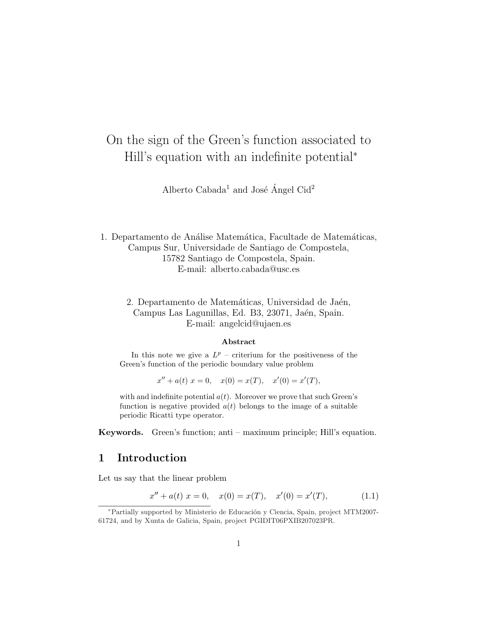# On the sign of the Green's function associated to Hill's equation with an indefinite potential<sup>∗</sup>

Alberto  $Cabaa<sup>1</sup>$  and José Ángel  $Cid<sup>2</sup>$ 

1. Departamento de Análise Matemática, Facultade de Matemáticas, Campus Sur, Universidade de Santiago de Compostela, 15782 Santiago de Compostela, Spain. E-mail: alberto.cabada@usc.es

# 2. Departamento de Matemáticas, Universidad de Jaén, Campus Las Lagunillas, Ed. B3, 23071, Jaén, Spain. E-mail: angelcid@ujaen.es

#### Abstract

In this note we give a  $L^p$  – criterium for the positiveness of the Green's function of the periodic boundary value problem

 $x'' + a(t) x = 0, \quad x(0) = x(T), \quad x'(0) = x'(T),$ 

with and indefinite potential  $a(t)$ . Moreover we prove that such Green's function is negative provided  $a(t)$  belongs to the image of a suitable periodic Ricatti type operator.

Keywords. Green's function; anti – maximum principle; Hill's equation.

# 1 Introduction

Let us say that the linear problem

$$
x'' + a(t) x = 0, \quad x(0) = x(T), \quad x'(0) = x'(T), \tag{1.1}
$$

<sup>∗</sup>Partially supported by Ministerio de Educaci´on y Ciencia, Spain, project MTM2007- 61724, and by Xunta de Galicia, Spain, project PGIDIT06PXIB207023PR.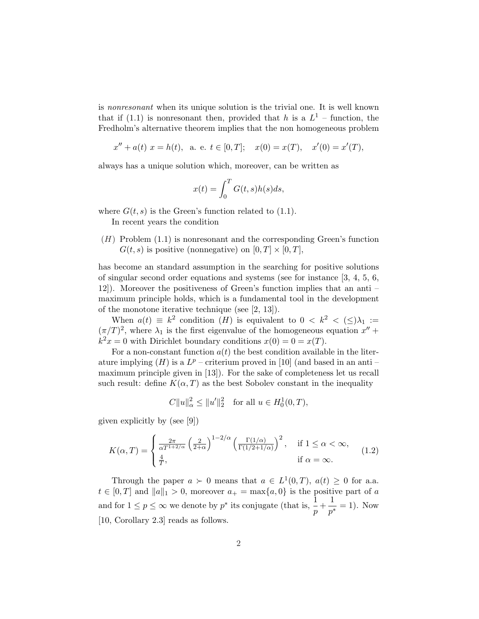is nonresonant when its unique solution is the trivial one. It is well known that if (1.1) is nonresonant then, provided that h is a  $L^1$  – function, the Fredholm's alternative theorem implies that the non homogeneous problem

$$
x'' + a(t) x = h(t)
$$
, a. e.  $t \in [0, T]$ ;  $x(0) = x(T)$ ,  $x'(0) = x'(T)$ ,

always has a unique solution which, moreover, can be written as

$$
x(t) = \int_0^T G(t, s)h(s)ds,
$$

where  $G(t, s)$  is the Green's function related to (1.1).

In recent years the condition

 $(H)$  Problem  $(1.1)$  is nonresonant and the corresponding Green's function  $G(t, s)$  is positive (nonnegative) on  $[0, T] \times [0, T]$ ,

has become an standard assumption in the searching for positive solutions of singular second order equations and systems (see for instance [3, 4, 5, 6, 12]). Moreover the positiveness of Green's function implies that an anti – maximum principle holds, which is a fundamental tool in the development of the monotone iterative technique (see [2, 13]).

When  $a(t) \equiv k^2$  condition  $(H)$  is equivalent to  $0 \lt k^2 \lt (\le) \lambda_1 :=$  $(\pi/T)^2$ , where  $\lambda_1$  is the first eigenvalue of the homogeneous equation  $x''$  +  $k^2x = 0$  with Dirichlet boundary conditions  $x(0) = 0 = x(T)$ .

For a non-constant function  $a(t)$  the best condition available in the literature implying  $(H)$  is a  $L^p$  – criterium proved in [10] (and based in an anti – maximum principle given in [13]). For the sake of completeness let us recall such result: define  $K(\alpha, T)$  as the best Sobolev constant in the inequality

$$
C||u||_{\alpha}^{2} \le ||u'||_{2}^{2} \text{ for all } u \in H_{0}^{1}(0,T),
$$

given explicitly by (see [9])

$$
K(\alpha, T) = \begin{cases} \frac{2\pi}{\alpha T^{1+2/\alpha}} \left(\frac{2}{2+\alpha}\right)^{1-2/\alpha} \left(\frac{\Gamma(1/\alpha)}{\Gamma(1/2+1/\alpha)}\right)^2, & \text{if } 1 \le \alpha < \infty, \\ \frac{4}{T}, & \text{if } \alpha = \infty. \end{cases}
$$
(1.2)

Through the paper  $a \succ 0$  means that  $a \in L^1(0,T)$ ,  $a(t) \geq 0$  for a.a.  $t \in [0, T]$  and  $||a||_1 > 0$ , moreover  $a_+ = \max\{a, 0\}$  is the positive part of a and for  $1 \le p \le \infty$  we denote by  $p^*$  its conjugate (that is,  $\frac{1}{p} + \frac{1}{p^*}$  $\frac{1}{p^*} = 1$ . Now [10, Corollary 2.3] reads as follows.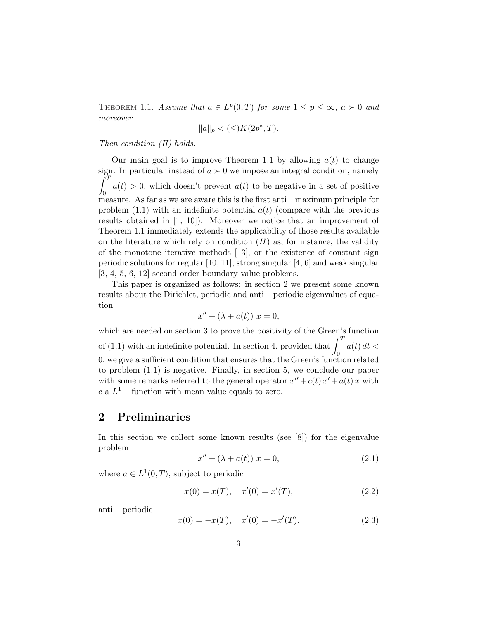THEOREM 1.1. Assume that  $a \in L^p(0,T)$  for some  $1 \leq p \leq \infty$ ,  $a \succ 0$  and moreover

$$
||a||_p < (\le) K(2p^*, T).
$$

Then condition (H) holds.

Our main goal is to improve Theorem 1.1 by allowing  $a(t)$  to change sign. In particular instead of  $a \succ 0$  we impose an integral condition, namely  $\frac{3181}{f}$ 0  $a(t) > 0$ , which doesn't prevent  $a(t)$  to be negative in a set of positive measure. As far as we are aware this is the first anti – maximum principle for problem  $(1.1)$  with an indefinite potential  $a(t)$  (compare with the previous results obtained in [1, 10]). Moreover we notice that an improvement of Theorem 1.1 immediately extends the applicability of those results available on the literature which rely on condition  $(H)$  as, for instance, the validity of the monotone iterative methods [13], or the existence of constant sign periodic solutions for regular [10, 11], strong singular [4, 6] and weak singular [3, 4, 5, 6, 12] second order boundary value problems.

This paper is organized as follows: in section 2 we present some known results about the Dirichlet, periodic and anti – periodic eigenvalues of equation

$$
x'' + (\lambda + a(t)) x = 0,
$$

which are needed on section 3 to prove the positivity of the Green's function which are needed on section 5 to prove the positivity of the Green s<br>of  $(1.1)$  with an indefinite potential. In section 4, provided that  $\int_1^T$ 0  $a(t) dt <$ 0, we give a sufficient condition that ensures that the Green's function related to problem (1.1) is negative. Finally, in section 5, we conclude our paper with some remarks referred to the general operator  $x'' + c(t)x' + a(t)x$  with c a  $L^1$  – function with mean value equals to zero.

# 2 Preliminaries

In this section we collect some known results (see [8]) for the eigenvalue problem

$$
x'' + (\lambda + a(t)) x = 0,
$$
 (2.1)

where  $a \in L^1(0,T)$ , subject to periodic

$$
x(0) = x(T), \quad x'(0) = x'(T), \tag{2.2}
$$

anti – periodic

$$
x(0) = -x(T), \quad x'(0) = -x'(T), \tag{2.3}
$$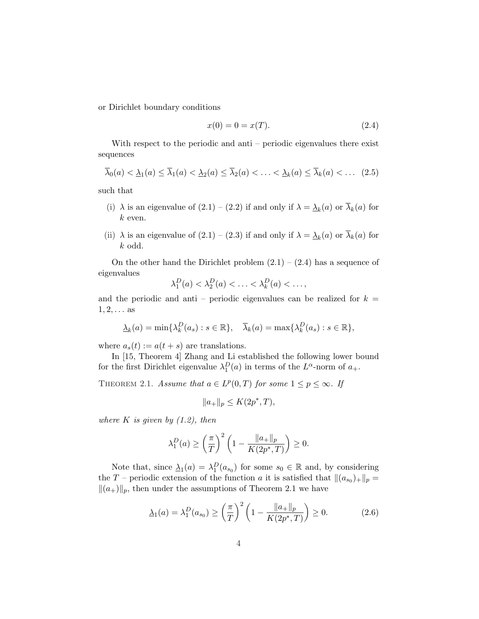or Dirichlet boundary conditions

$$
x(0) = 0 = x(T). \t\t(2.4)
$$

With respect to the periodic and anti – periodic eigenvalues there exist sequences

$$
\overline{\lambda}_0(a) < \underline{\lambda}_1(a) \le \overline{\lambda}_1(a) < \underline{\lambda}_2(a) \le \overline{\lambda}_2(a) < \ldots < \underline{\lambda}_k(a) \le \overline{\lambda}_k(a) < \ldots \quad (2.5)
$$

such that

- (i)  $\lambda$  is an eigenvalue of  $(2.1) (2.2)$  if and only if  $\lambda = \underline{\lambda}_k(a)$  or  $\overline{\lambda}_k(a)$  for  $k$  even.
- (ii)  $\lambda$  is an eigenvalue of  $(2.1) (2.3)$  if and only if  $\lambda = \underline{\lambda}_k(a)$  or  $\overline{\lambda}_k(a)$  for k odd.

On the other hand the Dirichlet problem  $(2.1) - (2.4)$  has a sequence of eigenvalues

$$
\lambda_1^D(a) < \lambda_2^D(a) < \ldots < \lambda_k^D(a) < \ldots,
$$

and the periodic and anti – periodic eigenvalues can be realized for  $k =$  $1, 2, \ldots$  as

$$
\underline{\lambda}_k(a) = \min\{\lambda_k^D(a_s) : s \in \mathbb{R}\}, \quad \overline{\lambda}_k(a) = \max\{\lambda_k^D(a_s) : s \in \mathbb{R}\},
$$

where  $a_s(t) := a(t+s)$  are translations.

In [15, Theorem 4] Zhang and Li established the following lower bound for the first Dirichlet eigenvalue  $\lambda_1^D(a)$  in terms of the  $L^{\alpha}$ -norm of  $a_+$ .

THEOREM 2.1. Assume that  $a \in L^p(0,T)$  for some  $1 \leq p \leq \infty$ . If

$$
||a_{+}||_{p} \le K(2p^*, T),
$$

where  $K$  is given by  $(1.2)$ , then

$$
\lambda_1^D(a) \ge \left(\frac{\pi}{T}\right)^2 \left(1 - \frac{\|a_+\|_p}{K(2p^*, T)}\right) \ge 0.
$$

Note that, since  $\Delta_1(a) = \lambda_1^D(a_{s_0})$  for some  $s_0 \in \mathbb{R}$  and, by considering the T – periodic extension of the function a it is satisfied that  $\|(a_{s_0})_+\|_p =$  $\|(a_{+})\|_{p}$ , then under the assumptions of Theorem 2.1 we have

$$
\underline{\lambda}_1(a) = \lambda_1^D(a_{s_0}) \ge \left(\frac{\pi}{T}\right)^2 \left(1 - \frac{\|a_+\|_p}{K(2p^*, T)}\right) \ge 0. \tag{2.6}
$$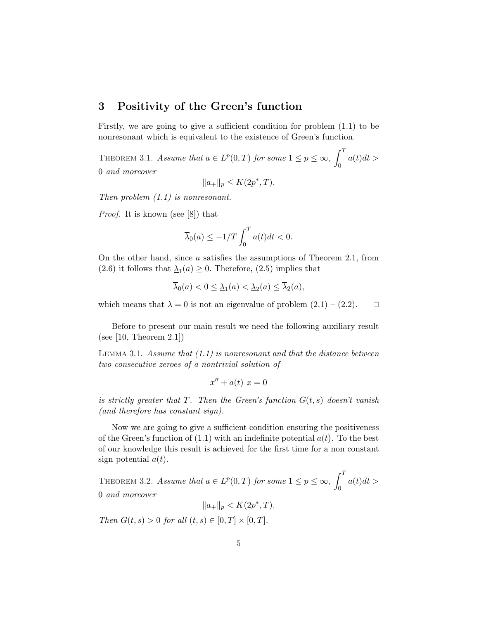# 3 Positivity of the Green's function

Firstly, we are going to give a sufficient condition for problem (1.1) to be nonresonant which is equivalent to the existence of Green's function.

THEOREM 3.1. Assume that  $a \in L^p(0,T)$  for some  $1 \leq p \leq \infty$ ,  $\mathcal{L}^T$ 0  $a(t)dt >$ 0 and moreover

$$
||a_+||_p \le K(2p^*, T).
$$

Then problem (1.1) is nonresonant.

Proof. It is known (see [8]) that

$$
\overline{\lambda}_0(a) \le -1/T \int_0^T a(t)dt < 0.
$$

On the other hand, since a satisfies the assumptions of Theorem 2.1, from  $(2.6)$  it follows that  $\underline{\lambda}_1(a) \geq 0$ . Therefore,  $(2.5)$  implies that

$$
\overline{\lambda}_0(a) < 0 \le \underline{\lambda}_1(a) < \underline{\lambda}_2(a) \le \overline{\lambda}_2(a),
$$

which means that  $\lambda = 0$  is not an eigenvalue of problem  $(2.1) - (2.2)$ .  $\Box$ 

Before to present our main result we need the following auxiliary result (see  $[10,$  Theorem  $2.1]$ )

LEMMA 3.1. Assume that  $(1.1)$  is nonresonant and that the distance between two consecutive zeroes of a nontrivial solution of

$$
x'' + a(t) \ x = 0
$$

is strictly greater that T. Then the Green's function  $G(t, s)$  doesn't vanish (and therefore has constant sign).

Now we are going to give a sufficient condition ensuring the positiveness of the Green's function of  $(1.1)$  with an indefinite potential  $a(t)$ . To the best of our knowledge this result is achieved for the first time for a non constant sign potential  $a(t)$ .

THEOREM 3.2. Assume that  $a \in L^p(0,T)$  for some  $1 \leq p \leq \infty$ ,  $\mathcal{L}^T$ 0  $a(t)dt >$ 0 and moreover

 $||a_+||_p < K(2p^*, T).$ 

Then  $G(t, s) > 0$  for all  $(t, s) \in [0, T] \times [0, T]$ .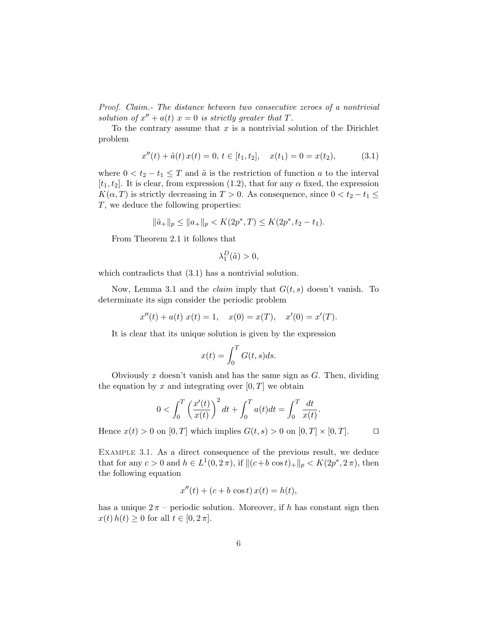Proof. Claim.- The distance between two consecutive zeroes of a nontrivial solution of  $x'' + a(t)$   $x = 0$  is strictly greater that T.

To the contrary assume that  $x$  is a nontrivial solution of the Dirichlet problem

$$
x''(t) + \tilde{a}(t)x(t) = 0, t \in [t_1, t_2], \quad x(t_1) = 0 = x(t_2), \tag{3.1}
$$

where  $0 < t_2 - t_1 \leq T$  and  $\tilde{a}$  is the restriction of function a to the interval  $[t_1, t_2]$ . It is clear, from expression (1.2), that for any  $\alpha$  fixed, the expression  $K(\alpha, T)$  is strictly decreasing in  $T > 0$ . As consequence, since  $0 < t_2 - t_1 \leq$ T, we deduce the following properties:

$$
\|\tilde{a}_+\|_p \le \|a_+\|_p < K(2p^*, T) \le K(2p^*, t_2 - t_1).
$$

From Theorem 2.1 it follows that

$$
\lambda_1^D(\tilde{a})>0,
$$

which contradicts that  $(3.1)$  has a nontrivial solution.

Now, Lemma 3.1 and the *claim* imply that  $G(t, s)$  doesn't vanish. To determinate its sign consider the periodic problem

$$
x''(t) + a(t) x(t) = 1
$$
,  $x(0) = x(T)$ ,  $x'(0) = x'(T)$ .

It is clear that its unique solution is given by the expression

$$
x(t) = \int_0^T G(t, s) ds.
$$

Obviously x doesn't vanish and has the same sign as  $G$ . Then, dividing the equation by x and integrating over  $[0, T]$  we obtain

$$
0 < \int_0^T \left(\frac{x'(t)}{x(t)}\right)^2 dt + \int_0^T a(t)dt = \int_0^T \frac{dt}{x(t)}
$$

Hence  $x(t) > 0$  on  $[0, T]$  which implies  $G(t, s) > 0$  on  $[0, T] \times [0, T]$ .

.

Example 3.1. As a direct consequence of the previous result, we deduce that for any  $c > 0$  and  $h \in L^1(0, 2\pi)$ , if  $|| (c+b \cos t)_+ ||_p < K(2p^*, 2\pi)$ , then the following equation

$$
x''(t) + (c+b\cos t) x(t) = h(t),
$$

has a unique  $2\pi$  – periodic solution. Moreover, if h has constant sign then  $x(t)$   $h(t) \geq 0$  for all  $t \in [0, 2\pi]$ .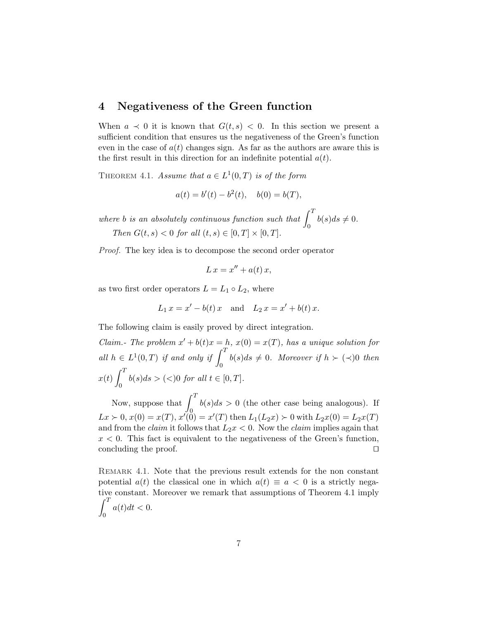# 4 Negativeness of the Green function

When  $a \prec 0$  it is known that  $G(t, s) < 0$ . In this section we present a sufficient condition that ensures us the negativeness of the Green's function even in the case of  $a(t)$  changes sign. As far as the authors are aware this is the first result in this direction for an indefinite potential  $a(t)$ .

THEOREM 4.1. Assume that  $a \in L^1(0,T)$  is of the form

$$
a(t) = b'(t) - b^2(t), \quad b(0) = b(T),
$$

where b is an absolutely continuous function such that  $\int_0^T$ 0  $b(s)ds \neq 0.$ Then  $G(t, s) < 0$  for all  $(t, s) \in [0, T] \times [0, T]$ .

Proof. The key idea is to decompose the second order operator

$$
L x = x'' + a(t) x,
$$

as two first order operators  $L = L_1 \circ L_2$ , where

$$
L_1 x = x' - b(t) x
$$
 and  $L_2 x = x' + b(t) x$ .

The following claim is easily proved by direct integration.

Claim.- The problem  $x' + b(t)x = h$ ,  $x(0) = x(T)$ , has a unique solution for all  $h \in L^1(0,T)$  if and only if  $\int_0^T$ 0  $b(s)ds \neq 0$ . Moreover if  $h \succ (\prec)0$  then  $x(t)$  $\mathcal{L}^T$ 0  $b(s)ds > (<)0 \text{ for all } t \in [0,T].$ 

Now, suppose that  $\int_0^T$ 0  $b(s)ds > 0$  (the other case being analogous). If  $Lx \succ 0, x(0) = x(T), x'(0) = x'(T)$  then  $L_1(L_2x) \succ 0$  with  $L_2x(0) = L_2x(T)$ and from the *claim* it follows that  $L_2x < 0$ . Now the *claim* implies again that  $x < 0$ . This fact is equivalent to the negativeness of the Green's function, concluding the proof.  $\Box$ 

Remark 4.1. Note that the previous result extends for the non constant potential  $a(t)$  the classical one in which  $a(t) \equiv a < 0$  is a strictly negative constant. Moreover we remark that assumptions of Theorem 4.1 imply  $\frac{u}{r}$ 0  $a(t)dt < 0.$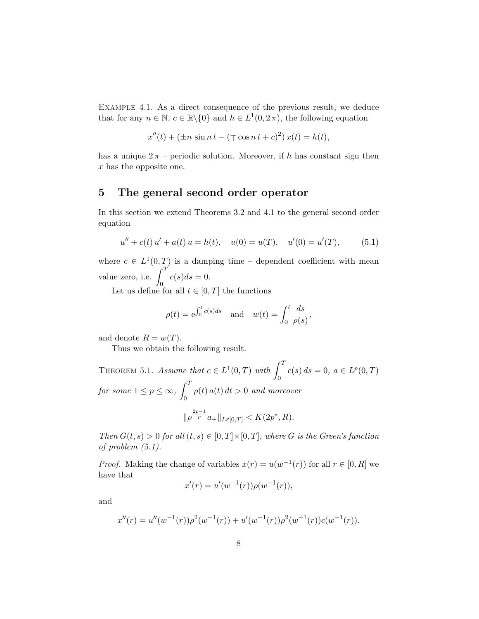Example 4.1. As a direct consequence of the previous result, we deduce that for any  $n \in \mathbb{N}$ ,  $c \in \mathbb{R} \backslash \{0\}$  and  $h \in L^1(0, 2\pi)$ , the following equation

$$
x''(t) + (\pm n \sin n t - (\mp \cos n t + c)^2) x(t) = h(t),
$$

has a unique  $2\pi$  – periodic solution. Moreover, if h has constant sign then x has the opposite one.

# 5 The general second order operator

In this section we extend Theorems 3.2 and 4.1 to the general second order equation

$$
u'' + c(t) u' + a(t) u = h(t), \quad u(0) = u(T), \quad u'(0) = u'(T), \tag{5.1}
$$

where  $c \in L^1(0,T)$  is a damping time – dependent coefficient with mean value zero, i.e.  $\int_0^T$ 0  $c(s)ds=0.$ 

Let us define for all  $t \in [0, T]$  the functions

$$
\rho(t) = e^{\int_0^t c(s)ds} \quad \text{and} \quad w(t) = \int_0^t \frac{ds}{\rho(s)},
$$

and denote  $R = w(T)$ .

Thus we obtain the following result.

THEOREM 5.1. Assume that  $c \in L^1(0,T)$  with  $\int_0^T$ 0  $c(s) ds = 0, a \in L^p(0,T)$ for some  $1 \leq p \leq \infty$ ,  $\mathcal{L}^T$ 0  $\rho(t) a(t) dt > 0$  and moreover  $2p-1$ 

$$
\|\rho^{\frac{2p-1}{p}}a_{+}\|_{L^{p}[0,T]} < K(2p^*,R).
$$

Then  $G(t, s) > 0$  for all  $(t, s) \in [0, T] \times [0, T]$ , where G is the Green's function of problem (5.1).

*Proof.* Making the change of variables  $x(r) = u(w^{-1}(r))$  for all  $r \in [0, R]$  we have that

$$
x'(r) = u'(w^{-1}(r))\rho(w^{-1}(r)),
$$

and

$$
x''(r) = u''(w^{-1}(r))\rho^{2}(w^{-1}(r)) + u'(w^{-1}(r))\rho^{2}(w^{-1}(r))c(w^{-1}(r)).
$$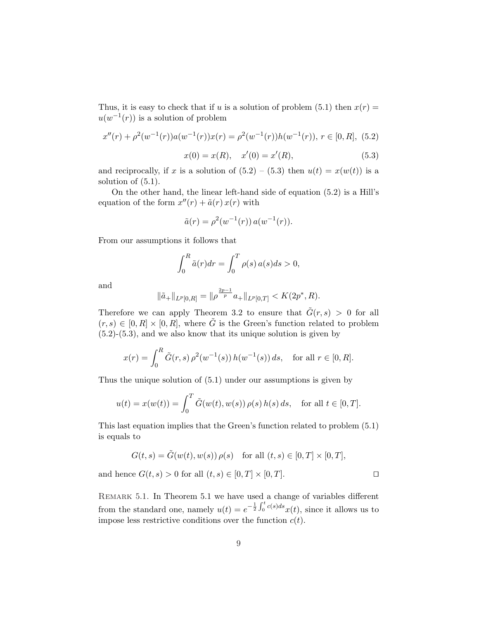Thus, it is easy to check that if u is a solution of problem (5.1) then  $x(r) =$  $u(w^{-1}(r))$  is a solution of problem

$$
x''(r) + \rho^2(w^{-1}(r))a(w^{-1}(r))x(r) = \rho^2(w^{-1}(r))h(w^{-1}(r)), \ r \in [0, R], \ (5.2)
$$

$$
x(0) = x(R), \quad x'(0) = x'(R), \tag{5.3}
$$

and reciprocally, if x is a solution of  $(5.2) - (5.3)$  then  $u(t) = x(w(t))$  is a solution of (5.1).

On the other hand, the linear left-hand side of equation (5.2) is a Hill's equation of the form  $x''(r) + \tilde{a}(r) x(r)$  with

$$
\tilde{a}(r) = \rho^2(w^{-1}(r)) a(w^{-1}(r)).
$$

From our assumptions it follows that

$$
\int_0^R \tilde{a}(r) dr = \int_0^T \rho(s) a(s) ds > 0,
$$

and

$$
\|\tilde{a}_{+}\|_{L^{p}[0,R]}=\|\rho^{\frac{2p-1}{p}}a_{+}\|_{L^{p}[0,T]}
$$

Therefore we can apply Theorem 3.2 to ensure that  $\tilde{G}(r, s) > 0$  for all  $(r, s) \in [0, R] \times [0, R]$ , where  $\tilde{G}$  is the Green's function related to problem  $(5.2)-(5.3)$ , and we also know that its unique solution is given by

$$
x(r) = \int_0^R \tilde{G}(r,s) \,\rho^2(w^{-1}(s)) h(w^{-1}(s)) \, ds, \quad \text{for all } r \in [0,R].
$$

Thus the unique solution of (5.1) under our assumptions is given by

$$
u(t) = x(w(t)) = \int_0^T \tilde{G}(w(t), w(s)) \,\rho(s) \, h(s) \, ds, \quad \text{for all } t \in [0, T].
$$

This last equation implies that the Green's function related to problem (5.1) is equals to

$$
G(t,s) = \tilde{G}(w(t), w(s)) \rho(s) \quad \text{for all } (t,s) \in [0,T] \times [0,T],
$$

and hence  $G(t, s) > 0$  for all  $(t, s) \in [0, T] \times [0, T]$ .

REMARK 5.1. In Theorem 5.1 we have used a change of variables different from the standard one, namely  $u(t) = e^{-\frac{1}{2}}$  $\frac{\alpha}{\int t}$  $\int_0^{\infty} c(s)ds x(t)$ , since it allows us to impose less restrictive conditions over the function  $c(t)$ .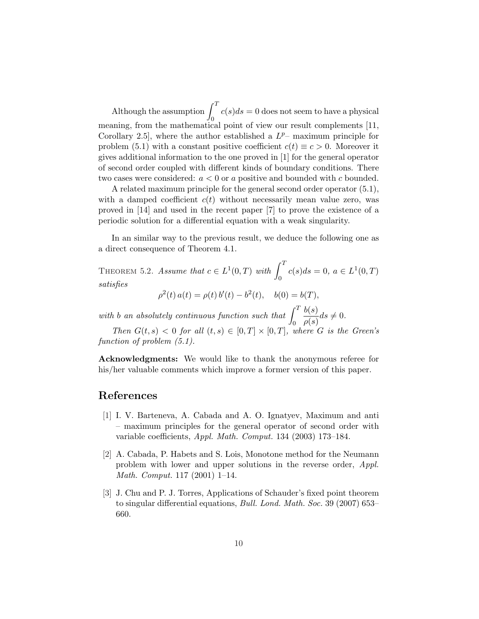Although the assumption  $\int_0^T$ 0  $c(s)ds = 0$  does not seem to have a physical meaning, from the mathematical point of view our result complements [11, Corollary 2.5, where the author established a  $L^{p-}$  maximum principle for problem (5.1) with a constant positive coefficient  $c(t) \equiv c > 0$ . Moreover it gives additional information to the one proved in [1] for the general operator of second order coupled with different kinds of boundary conditions. There two cases were considered:  $a < 0$  or a positive and bounded with c bounded.

A related maximum principle for the general second order operator (5.1), with a damped coefficient  $c(t)$  without necessarily mean value zero, was proved in [14] and used in the recent paper [7] to prove the existence of a periodic solution for a differential equation with a weak singularity.

In an similar way to the previous result, we deduce the following one as a direct consequence of Theorem 4.1.

THEOREM 5.2. Assume that  $c \in L^1(0,T)$  with  $\int_0^T$ 0  $c(s)ds = 0, \ a \in L^1(0,T)$ satisfies 2  $\prime$ 2

$$
\rho^{2}(t) a(t) = \rho(t) b'(t) - b^{2}(t), \quad b(0) = b(T),
$$

with b an absolutely continuous function such that  $\int_0^T$ 0  $b(s)$  $\frac{\partial(s)}{\rho(s)}ds \neq 0.$ 

Then  $G(t, s) < 0$  for all  $(t, s) \in [0, T] \times [0, T]$ , where G is the Green's function of problem (5.1).

Acknowledgments: We would like to thank the anonymous referee for his/her valuable comments which improve a former version of this paper.

### References

- [1] I. V. Barteneva, A. Cabada and A. O. Ignatyev, Maximum and anti – maximum principles for the general operator of second order with variable coefficients, Appl. Math. Comput. 134 (2003) 173–184.
- [2] A. Cabada, P. Habets and S. Lois, Monotone method for the Neumann problem with lower and upper solutions in the reverse order, Appl. Math. Comput. 117 (2001) 1–14.
- [3] J. Chu and P. J. Torres, Applications of Schauder's fixed point theorem to singular differential equations, Bull. Lond. Math. Soc. 39 (2007) 653– 660.